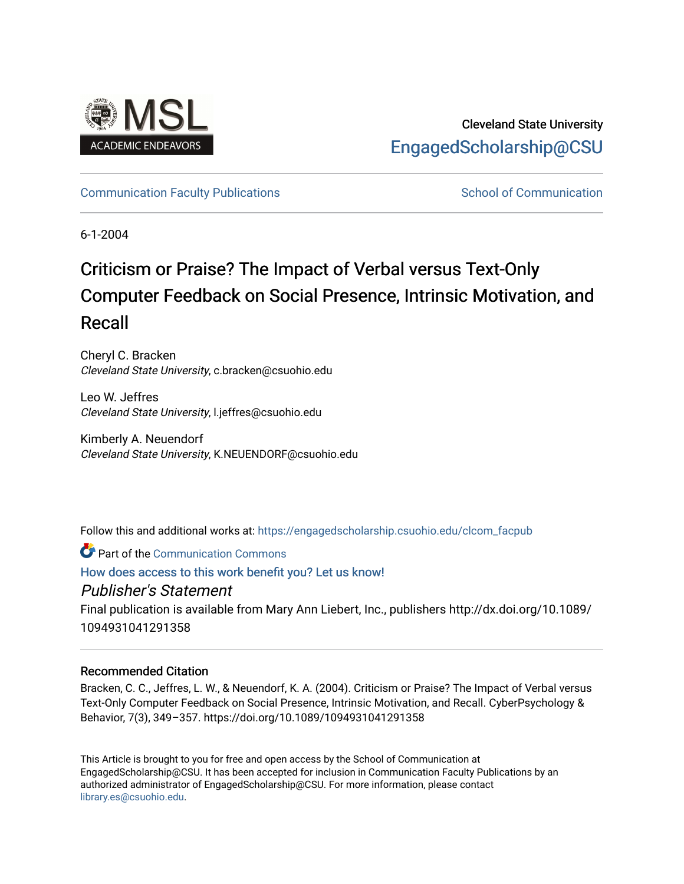

## Cleveland State University [EngagedScholarship@CSU](https://engagedscholarship.csuohio.edu/)

## [Communication Faculty Publications](https://engagedscholarship.csuohio.edu/clcom_facpub) [School of Communication](https://engagedscholarship.csuohio.edu/clcom) School of Communication

6-1-2004

# Criticism or Praise? The Impact of Verbal versus Text-Only Computer Feedback on Social Presence, Intrinsic Motivation, and Recall

Cheryl C. Bracken Cleveland State University, c.bracken@csuohio.edu

Leo W. Jeffres Cleveland State University, l.jeffres@csuohio.edu

Kimberly A. Neuendorf Cleveland State University, K.NEUENDORF@csuohio.edu

Follow this and additional works at: [https://engagedscholarship.csuohio.edu/clcom\\_facpub](https://engagedscholarship.csuohio.edu/clcom_facpub?utm_source=engagedscholarship.csuohio.edu%2Fclcom_facpub%2F53&utm_medium=PDF&utm_campaign=PDFCoverPages) 

Part of the [Communication Commons](http://network.bepress.com/hgg/discipline/325?utm_source=engagedscholarship.csuohio.edu%2Fclcom_facpub%2F53&utm_medium=PDF&utm_campaign=PDFCoverPages) 

[How does access to this work benefit you? Let us know!](http://library.csuohio.edu/engaged/)

Publisher's Statement

Final publication is available from Mary Ann Liebert, Inc., publishers http://dx.doi.org/10.1089/ 1094931041291358

## Recommended Citation

Bracken, C. C., Jeffres, L. W., & Neuendorf, K. A. (2004). Criticism or Praise? The Impact of Verbal versus Text-Only Computer Feedback on Social Presence, Intrinsic Motivation, and Recall. CyberPsychology & Behavior, 7(3), 349–357. https://doi.org/10.1089/1094931041291358

This Article is brought to you for free and open access by the School of Communication at EngagedScholarship@CSU. It has been accepted for inclusion in Communication Faculty Publications by an authorized administrator of EngagedScholarship@CSU. For more information, please contact [library.es@csuohio.edu.](mailto:library.es@csuohio.edu)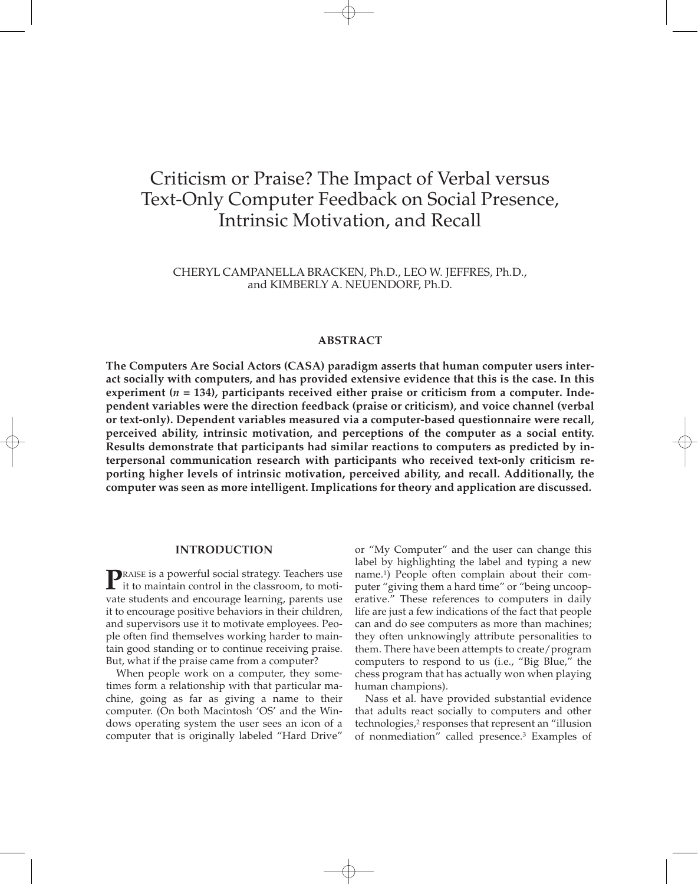# Criticism or Praise? The Impact of Verbal versus Text-Only Computer Feedback on Social Presence, **Intrinsic Motivation, and Recall**

CHERYL CAMPANELLA BRACKEN, Ph.D., LEO W. JEFFRES, Ph.D., and KIMBERLY A. NEUENDORF, Ph.D.

#### **ABSTRACT**

The Computers Are Social Actors (CASA) paradigm asserts that human computer users interact socially with computers, and has provided extensive evidence that this is the case. In this experiment ( $n = 134$ ), participants received either praise or criticism from a computer. Independent variables were the direction feedback (praise or criticism), and voice channel (verbal or text-only). Dependent variables measured via a computer-based questionnaire were recall, perceived ability, intrinsic motivation, and perceptions of the computer as a social entity. Results demonstrate that participants had similar reactions to computers as predicted by interpersonal communication research with participants who received text-only criticism reporting higher levels of intrinsic motivation, perceived ability, and recall. Additionally, the computer was seen as more intelligent. Implications for theory and application are discussed.

#### **INTRODUCTION**

PRAISE is a powerful social strategy. Teachers use<br>it to maintain control in the classroom, to motivate students and encourage learning, parents use it to encourage positive behaviors in their children, and supervisors use it to motivate employees. People often find themselves working harder to maintain good standing or to continue receiving praise. But, what if the praise came from a computer?

When people work on a computer, they sometimes form a relationship with that particular machine, going as far as giving a name to their computer. (On both Macintosh 'OS' and the Windows operating system the user sees an icon of a computer that is originally labeled "Hard Drive"

or "My Computer" and the user can change this label by highlighting the label and typing a new name.<sup>1</sup>) People often complain about their computer "giving them a hard time" or "being uncooperative." These references to computers in daily life are just a few indications of the fact that people can and do see computers as more than machines; they often unknowingly attribute personalities to them. There have been attempts to create/program computers to respond to us (i.e., "Big Blue," the chess program that has actually won when playing human champions).

Nass et al. have provided substantial evidence that adults react socially to computers and other technologies,<sup>2</sup> responses that represent an "illusion" of nonmediation" called presence.<sup>3</sup> Examples of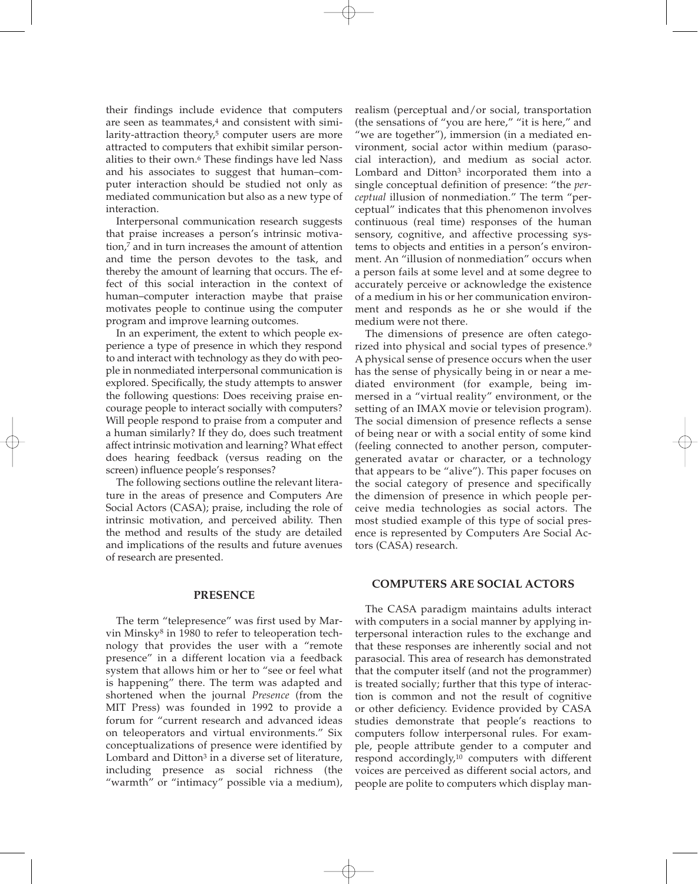their findings include evidence that computers are seen as teammates,<sup>4</sup> and consistent with similarity-attraction theory,<sup>5</sup> computer users are more attracted to computers that exhibit similar personalities to their own.<sup>6</sup> These findings have led Nass and his associates to suggest that human-computer interaction should be studied not only as mediated communication but also as a new type of interaction.

Interpersonal communication research suggests that praise increases a person's intrinsic motivation,<sup>7</sup> and in turn increases the amount of attention and time the person devotes to the task, and thereby the amount of learning that occurs. The effect of this social interaction in the context of human-computer interaction maybe that praise motivates people to continue using the computer program and improve learning outcomes.

In an experiment, the extent to which people experience a type of presence in which they respond to and interact with technology as they do with people in nonmediated interpersonal communication is explored. Specifically, the study attempts to answer the following questions: Does receiving praise encourage people to interact socially with computers? Will people respond to praise from a computer and a human similarly? If they do, does such treatment affect intrinsic motivation and learning? What effect does hearing feedback (versus reading on the screen) influence people's responses?

The following sections outline the relevant literature in the areas of presence and Computers Are Social Actors (CASA); praise, including the role of intrinsic motivation, and perceived ability. Then the method and results of the study are detailed and implications of the results and future avenues of research are presented.

#### **PRESENCE**

The term "telepresence" was first used by Marvin Minsky<sup>8</sup> in 1980 to refer to teleoperation technology that provides the user with a "remote presence" in a different location via a feedback system that allows him or her to "see or feel what is happening" there. The term was adapted and shortened when the journal Presence (from the MIT Press) was founded in 1992 to provide a forum for "current research and advanced ideas on teleoperators and virtual environments." Six conceptualizations of presence were identified by Lombard and Ditton<sup>3</sup> in a diverse set of literature, including presence as social richness (the "warmth" or "intimacy" possible via a medium),

realism (perceptual and/or social, transportation (the sensations of "you are here," "it is here," and "we are together"), immersion (in a mediated environment, social actor within medium (parasocial interaction), and medium as social actor. Lombard and Ditton<sup>3</sup> incorporated them into a single conceptual definition of presence: "the perceptual illusion of nonmediation." The term "perceptual" indicates that this phenomenon involves continuous (real time) responses of the human sensory, cognitive, and affective processing systems to objects and entities in a person's environment. An "illusion of nonmediation" occurs when a person fails at some level and at some degree to accurately perceive or acknowledge the existence of a medium in his or her communication environment and responds as he or she would if the medium were not there.

The dimensions of presence are often categorized into physical and social types of presence.<sup>9</sup> A physical sense of presence occurs when the user has the sense of physically being in or near a mediated environment (for example, being immersed in a "virtual reality" environment, or the setting of an IMAX movie or television program). The social dimension of presence reflects a sense of being near or with a social entity of some kind (feeling connected to another person, computergenerated avatar or character, or a technology that appears to be "alive"). This paper focuses on the social category of presence and specifically the dimension of presence in which people perceive media technologies as social actors. The most studied example of this type of social presence is represented by Computers Are Social Actors (CASA) research.

#### **COMPUTERS ARE SOCIAL ACTORS**

The CASA paradigm maintains adults interact with computers in a social manner by applying interpersonal interaction rules to the exchange and that these responses are inherently social and not parasocial. This area of research has demonstrated that the computer itself (and not the programmer) is treated socially; further that this type of interaction is common and not the result of cognitive or other deficiency. Evidence provided by CASA studies demonstrate that people's reactions to computers follow interpersonal rules. For example, people attribute gender to a computer and respond accordingly,<sup>10</sup> computers with different voices are perceived as different social actors, and people are polite to computers which display man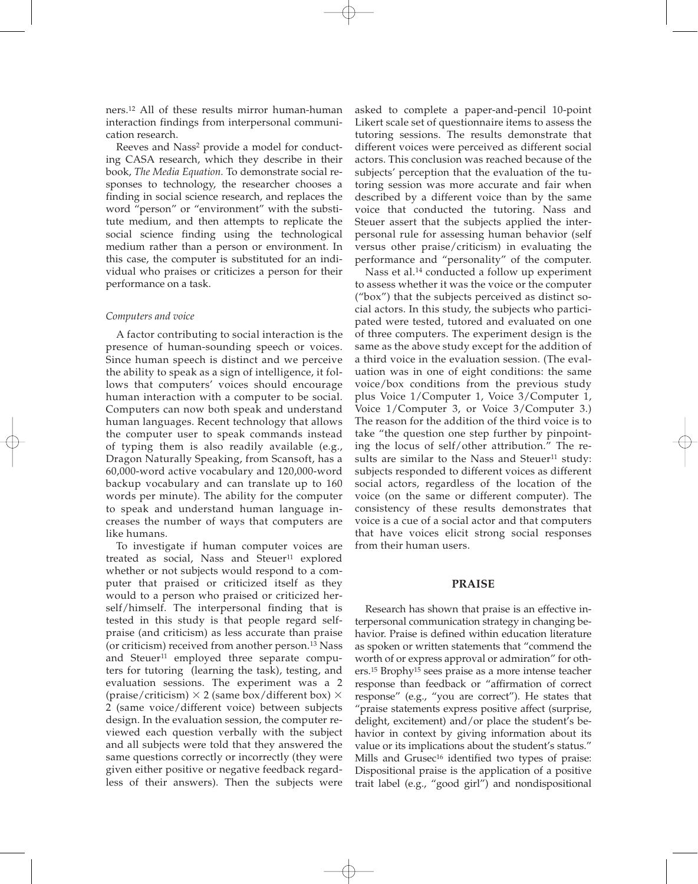ners.<sup>12</sup> All of these results mirror human-human interaction findings from interpersonal communication research.

Reeves and Nass<sup>2</sup> provide a model for conducting CASA research, which they describe in their book, The Media Equation. To demonstrate social responses to technology, the researcher chooses a finding in social science research, and replaces the word "person" or "environment" with the substitute medium, and then attempts to replicate the social science finding using the technological medium rather than a person or environment. In this case, the computer is substituted for an individual who praises or criticizes a person for their performance on a task.

#### Computers and voice

A factor contributing to social interaction is the presence of human-sounding speech or voices. Since human speech is distinct and we perceive the ability to speak as a sign of intelligence, it follows that computers' voices should encourage human interaction with a computer to be social. Computers can now both speak and understand human languages. Recent technology that allows the computer user to speak commands instead of typing them is also readily available (e.g., Dragon Naturally Speaking, from Scansoft, has a 60,000-word active vocabulary and 120,000-word backup vocabulary and can translate up to 160 words per minute). The ability for the computer to speak and understand human language increases the number of ways that computers are like humans.

To investigate if human computer voices are treated as social, Nass and Steuer<sup>11</sup> explored whether or not subjects would respond to a computer that praised or criticized itself as they would to a person who praised or criticized herself/himself. The interpersonal finding that is tested in this study is that people regard selfpraise (and criticism) as less accurate than praise (or criticism) received from another person.<sup>13</sup> Nass and Steuer<sup>11</sup> employed three separate computers for tutoring (learning the task), testing, and evaluation sessions. The experiment was a 2 (praise/criticism)  $\times$  2 (same box/different box)  $\times$ 2 (same voice/different voice) between subjects design. In the evaluation session, the computer reviewed each question verbally with the subject and all subjects were told that they answered the same questions correctly or incorrectly (they were given either positive or negative feedback regardless of their answers). Then the subjects were

asked to complete a paper-and-pencil 10-point Likert scale set of questionnaire items to assess the tutoring sessions. The results demonstrate that different voices were perceived as different social actors. This conclusion was reached because of the subjects' perception that the evaluation of the tutoring session was more accurate and fair when described by a different voice than by the same voice that conducted the tutoring. Nass and Steuer assert that the subjects applied the interpersonal rule for assessing human behavior (self versus other praise/criticism) in evaluating the performance and "personality" of the computer.

Nass et al.<sup>14</sup> conducted a follow up experiment to assess whether it was the voice or the computer ("box") that the subjects perceived as distinct social actors. In this study, the subjects who participated were tested, tutored and evaluated on one of three computers. The experiment design is the same as the above study except for the addition of a third voice in the evaluation session. (The evaluation was in one of eight conditions: the same voice/box conditions from the previous study plus Voice 1/Computer 1, Voice 3/Computer 1, Voice 1/Computer 3, or Voice 3/Computer 3.) The reason for the addition of the third voice is to take "the question one step further by pinpointing the locus of self/other attribution." The results are similar to the Nass and Steuer<sup>11</sup> study: subjects responded to different voices as different social actors, regardless of the location of the voice (on the same or different computer). The consistency of these results demonstrates that voice is a cue of a social actor and that computers that have voices elicit strong social responses from their human users.

#### **PRAISE**

Research has shown that praise is an effective interpersonal communication strategy in changing behavior. Praise is defined within education literature as spoken or written statements that "commend the worth of or express approval or admiration" for others.<sup>15</sup> Brophy<sup>15</sup> sees praise as a more intense teacher response than feedback or "affirmation of correct response" (e.g., "you are correct"). He states that "praise statements express positive affect (surprise, delight, excitement) and/or place the student's behavior in context by giving information about its value or its implications about the student's status." Mills and Grusec<sup>16</sup> identified two types of praise: Dispositional praise is the application of a positive trait label (e.g., "good girl") and nondispositional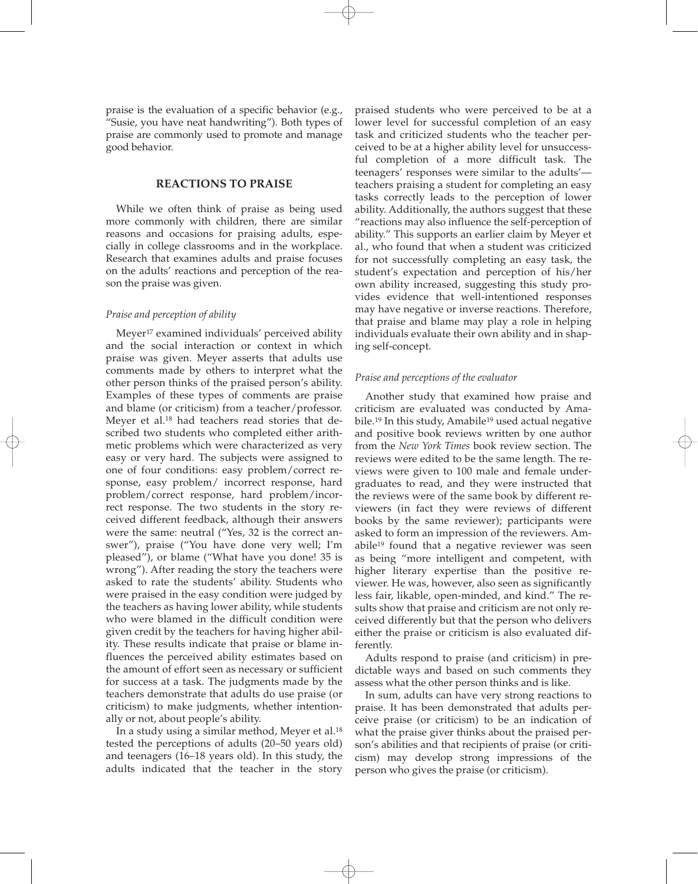praise is the evaluation of a specific behavior (e.g., "Susie, you have neat handwriting"). Both types of praise are commonly used to promote and manage good behavior.

#### **REACTIONS TO PRAISE**

While we often think of praise as being used more commonly with children, there are similar reasons and occasions for praising adults, especially in college classrooms and in the workplace. Research that examines adults and praise focuses on the adults' reactions and perception of the reason the praise was given.

#### Praise and perception of ability

Meyer<sup>17</sup> examined individuals' perceived ability and the social interaction or context in which praise was given. Meyer asserts that adults use comments made by others to interpret what the other person thinks of the praised person's ability. Examples of these types of comments are praise and blame (or criticism) from a teacher/professor. Meyer et al.<sup>18</sup> had teachers read stories that described two students who completed either arithmetic problems which were characterized as very easy or very hard. The subjects were assigned to one of four conditions: easy problem/correct response, easy problem/ incorrect response, hard problem/correct response, hard problem/incorrect response. The two students in the story received different feedback, although their answers were the same: neutral ("Yes, 32 is the correct answer"), praise ("You have done very well; I'm pleased"), or blame ("What have you done! 35 is wrong"). After reading the story the teachers were asked to rate the students' ability. Students who were praised in the easy condition were judged by the teachers as having lower ability, while students who were blamed in the difficult condition were given credit by the teachers for having higher ability. These results indicate that praise or blame influences the perceived ability estimates based on the amount of effort seen as necessary or sufficient for success at a task. The judgments made by the teachers demonstrate that adults do use praise (or criticism) to make judgments, whether intentionally or not, about people's ability.

In a study using a similar method, Meyer et al.<sup>18</sup> tested the perceptions of adults (20–50 years old) and teenagers (16-18 years old). In this study, the adults indicated that the teacher in the story

praised students who were perceived to be at a lower level for successful completion of an easy task and criticized students who the teacher perceived to be at a higher ability level for unsuccessful completion of a more difficult task. The teenagers' responses were similar to the adults' teachers praising a student for completing an easy tasks correctly leads to the perception of lower ability. Additionally, the authors suggest that these "reactions may also influence the self-perception of ability." This supports an earlier claim by Meyer et al., who found that when a student was criticized for not successfully completing an easy task, the student's expectation and perception of his/her own ability increased, suggesting this study provides evidence that well-intentioned responses may have negative or inverse reactions. Therefore, that praise and blame may play a role in helping individuals evaluate their own ability and in shaping self-concept.

#### Praise and perceptions of the evaluator

Another study that examined how praise and criticism are evaluated was conducted by Amabile.<sup>19</sup> In this study, Amabile<sup>19</sup> used actual negative and positive book reviews written by one author from the New York Times book review section. The reviews were edited to be the same length. The reviews were given to 100 male and female undergraduates to read, and they were instructed that the reviews were of the same book by different reviewers (in fact they were reviews of different books by the same reviewer); participants were asked to form an impression of the reviewers. Amabile<sup>19</sup> found that a negative reviewer was seen as being "more intelligent and competent, with higher literary expertise than the positive reviewer. He was, however, also seen as significantly less fair, likable, open-minded, and kind." The results show that praise and criticism are not only received differently but that the person who delivers either the praise or criticism is also evaluated differently.

Adults respond to praise (and criticism) in predictable ways and based on such comments they assess what the other person thinks and is like.

In sum, adults can have very strong reactions to praise. It has been demonstrated that adults perceive praise (or criticism) to be an indication of what the praise giver thinks about the praised person's abilities and that recipients of praise (or criticism) may develop strong impressions of the person who gives the praise (or criticism).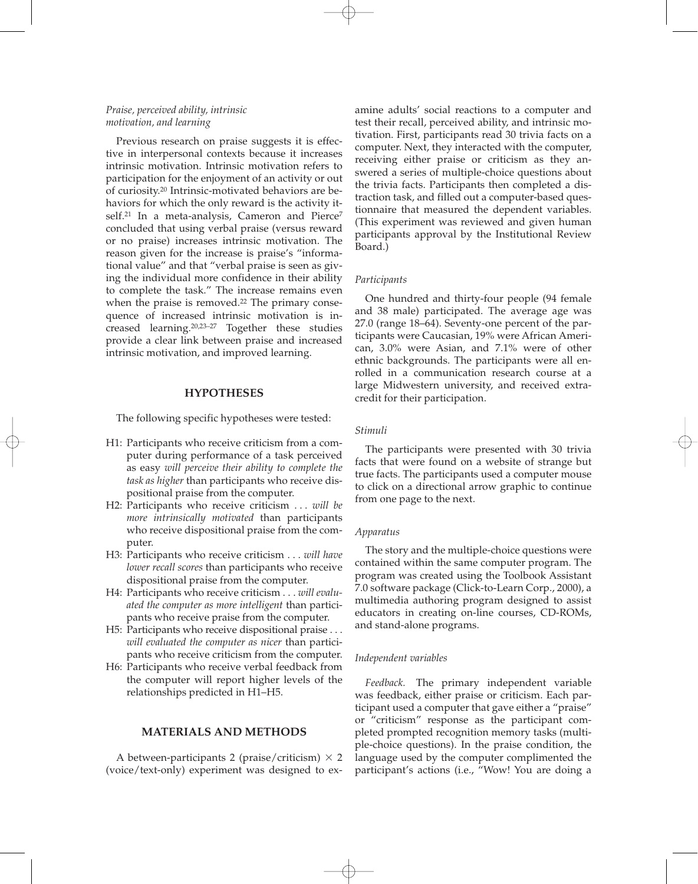#### Praise, perceived ability, intrinsic motivation, and learning

Previous research on praise suggests it is effective in interpersonal contexts because it increases intrinsic motivation. Intrinsic motivation refers to participation for the enjoyment of an activity or out of curiosity.<sup>20</sup> Intrinsic-motivated behaviors are behaviors for which the only reward is the activity itself.<sup>21</sup> In a meta-analysis, Cameron and Pierce<sup>7</sup> concluded that using verbal praise (versus reward or no praise) increases intrinsic motivation. The reason given for the increase is praise's "informational value" and that "verbal praise is seen as giving the individual more confidence in their ability to complete the task." The increase remains even when the praise is removed.<sup>22</sup> The primary consequence of increased intrinsic motivation is increased learning.<sup>20,23-27</sup> Together these studies provide a clear link between praise and increased intrinsic motivation, and improved learning.

#### **HYPOTHESES**

The following specific hypotheses were tested:

- H1: Participants who receive criticism from a computer during performance of a task perceived as easy will perceive their ability to complete the task as higher than participants who receive dispositional praise from the computer.
- H2: Participants who receive criticism ... will be more intrinsically motivated than participants who receive dispositional praise from the computer.
- H3: Participants who receive criticism . . . will have lower recall scores than participants who receive dispositional praise from the computer.
- H4: Participants who receive criticism . . . will evaluated the computer as more intelligent than participants who receive praise from the computer.
- H5: Participants who receive dispositional praise ... will evaluated the computer as nicer than participants who receive criticism from the computer.
- H6: Participants who receive verbal feedback from the computer will report higher levels of the relationships predicted in H1-H5.

#### **MATERIALS AND METHODS**

A between-participants 2 (praise/criticism)  $\times$  2 (voice/text-only) experiment was designed to ex-

amine adults' social reactions to a computer and test their recall, perceived ability, and intrinsic motivation. First, participants read 30 trivia facts on a computer. Next, they interacted with the computer, receiving either praise or criticism as they answered a series of multiple-choice questions about the trivia facts. Participants then completed a distraction task, and filled out a computer-based questionnaire that measured the dependent variables. (This experiment was reviewed and given human participants approval by the Institutional Review Board.)

#### Participants

One hundred and thirty-four people (94 female and 38 male) participated. The average age was 27.0 (range 18–64). Seventy-one percent of the participants were Caucasian, 19% were African American, 3.0% were Asian, and 7.1% were of other ethnic backgrounds. The participants were all enrolled in a communication research course at a large Midwestern university, and received extracredit for their participation.

#### Stimuli

The participants were presented with 30 trivia facts that were found on a website of strange but true facts. The participants used a computer mouse to click on a directional arrow graphic to continue from one page to the next.

#### Apparatus

The story and the multiple-choice questions were contained within the same computer program. The program was created using the Toolbook Assistant 7.0 software package (Click-to-Learn Corp., 2000), a multimedia authoring program designed to assist educators in creating on-line courses, CD-ROMs, and stand-alone programs.

#### Independent variables

Feedback. The primary independent variable was feedback, either praise or criticism. Each participant used a computer that gave either a "praise" or "criticism" response as the participant completed prompted recognition memory tasks (multiple-choice questions). In the praise condition, the language used by the computer complimented the participant's actions (i.e., "Wow! You are doing a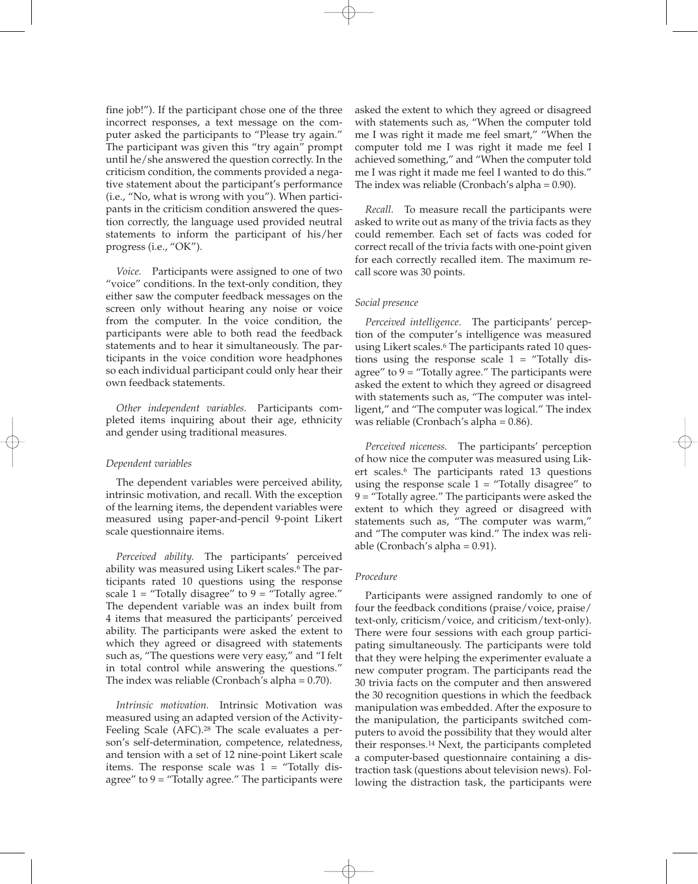fine job!"). If the participant chose one of the three incorrect responses, a text message on the computer asked the participants to "Please try again." The participant was given this "try again" prompt until he/she answered the question correctly. In the criticism condition, the comments provided a negative statement about the participant's performance (i.e., "No, what is wrong with you"). When participants in the criticism condition answered the question correctly, the language used provided neutral statements to inform the participant of his/her progress (i.e., "OK").

Voice. Participants were assigned to one of two "voice" conditions. In the text-only condition, they either saw the computer feedback messages on the screen only without hearing any noise or voice from the computer. In the voice condition, the participants were able to both read the feedback statements and to hear it simultaneously. The participants in the voice condition wore headphones so each individual participant could only hear their own feedback statements.

Other independent variables. Participants completed items inquiring about their age, ethnicity and gender using traditional measures.

#### Dependent variables

The dependent variables were perceived ability, intrinsic motivation, and recall. With the exception of the learning items, the dependent variables were measured using paper-and-pencil 9-point Likert scale questionnaire items.

Perceived ability. The participants' perceived ability was measured using Likert scales.<sup>6</sup> The participants rated 10 questions using the response scale  $1 =$  "Totally disagree" to  $9 =$  "Totally agree." The dependent variable was an index built from 4 items that measured the participants' perceived ability. The participants were asked the extent to which they agreed or disagreed with statements such as, "The questions were very easy," and "I felt in total control while answering the questions." The index was reliable (Cronbach's alpha =  $0.70$ ).

Intrinsic motivation. Intrinsic Motivation was measured using an adapted version of the Activity-Feeling Scale (AFC).<sup>28</sup> The scale evaluates a person's self-determination, competence, relatedness, and tension with a set of 12 nine-point Likert scale items. The response scale was  $1 =$  "Totally disagree" to  $9 =$  "Totally agree." The participants were asked the extent to which they agreed or disagreed with statements such as, "When the computer told me I was right it made me feel smart," "When the computer told me I was right it made me feel I achieved something," and "When the computer told me I was right it made me feel I wanted to do this." The index was reliable (Cronbach's alpha =  $0.90$ ).

Recall. To measure recall the participants were asked to write out as many of the trivia facts as they could remember. Each set of facts was coded for correct recall of the trivia facts with one-point given for each correctly recalled item. The maximum recall score was 30 points.

#### Social presence

Perceived intelligence. The participants' perception of the computer's intelligence was measured using Likert scales.<sup>6</sup> The participants rated 10 questions using the response scale  $1 =$  "Totally disagree" to  $9 =$  "Totally agree." The participants were asked the extent to which they agreed or disagreed with statements such as, "The computer was intelligent," and "The computer was logical." The index was reliable (Cronbach's alpha = 0.86).

Perceived niceness. The participants' perception of how nice the computer was measured using Likert scales.<sup>6</sup> The participants rated 13 questions using the response scale  $1 =$  "Totally disagree" to  $9 =$  "Totally agree." The participants were asked the extent to which they agreed or disagreed with statements such as, "The computer was warm," and "The computer was kind." The index was reliable (Cronbach's alpha =  $0.91$ ).

#### Procedure

Participants were assigned randomly to one of four the feedback conditions (praise/voice, praise/ text-only, criticism/voice, and criticism/text-only). There were four sessions with each group participating simultaneously. The participants were told that they were helping the experimenter evaluate a new computer program. The participants read the 30 trivia facts on the computer and then answered the 30 recognition questions in which the feedback manipulation was embedded. After the exposure to the manipulation, the participants switched computers to avoid the possibility that they would alter their responses.<sup>14</sup> Next, the participants completed a computer-based questionnaire containing a distraction task (questions about television news). Following the distraction task, the participants were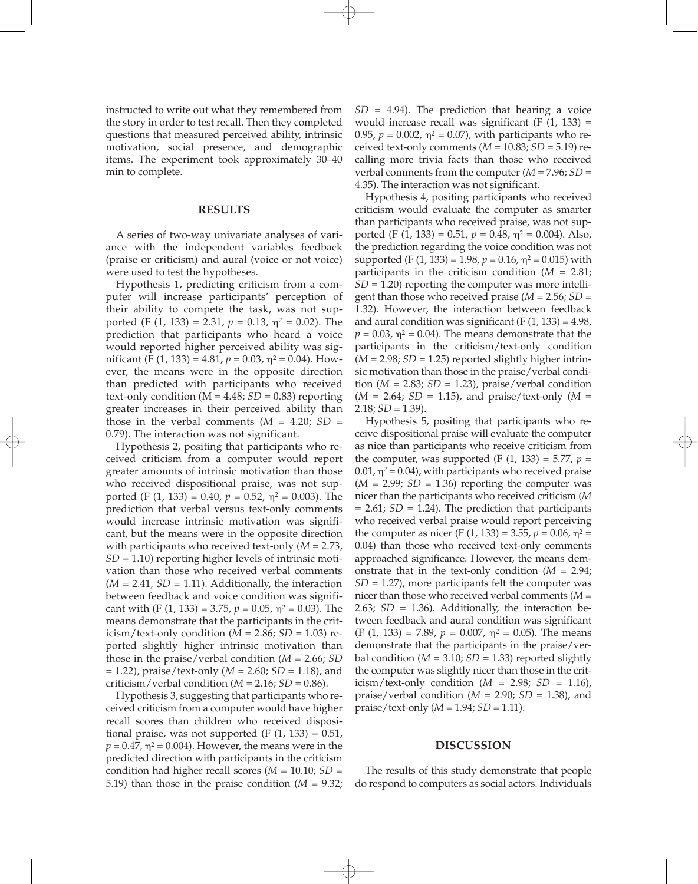instructed to write out what they remembered from the story in order to test recall. Then they completed questions that measured perceived ability, intrinsic motivation, social presence, and demographic items. The experiment took approximately 30-40 min to complete.

#### **RESULTS**

A series of two-way univariate analyses of variance with the independent variables feedback (praise or criticism) and aural (voice or not voice) were used to test the hypotheses.

Hypothesis 1, predicting criticism from a computer will increase participants' perception of their ability to compete the task, was not supported (F  $(1, 133) = 2.31$ ,  $p = 0.13$ ,  $p^2 = 0.02$ ). The prediction that participants who heard a voice would reported higher perceived ability was significant (F (1, 133) = 4.81,  $p = 0.03$ ,  $\eta^2 = 0.04$ ). However, the means were in the opposite direction than predicted with participants who received text-only condition ( $M = 4.48$ ;  $SD = 0.83$ ) reporting greater increases in their perceived ability than those in the verbal comments ( $M = 4.20$ ; SD = 0.79). The interaction was not significant.

Hypothesis 2, positing that participants who received criticism from a computer would report greater amounts of intrinsic motivation than those who received dispositional praise, was not supported (F (1, 133) = 0.40,  $p = 0.52$ ,  $\eta^2 = 0.003$ ). The prediction that verbal versus text-only comments would increase intrinsic motivation was significant, but the means were in the opposite direction with participants who received text-only ( $M = 2.73$ ,  $SD = 1.10$ ) reporting higher levels of intrinsic motivation than those who received verbal comments  $(M = 2.41, SD = 1.11)$ . Additionally, the interaction between feedback and voice condition was significant with (F (1, 133) = 3.75,  $p = 0.05$ ,  $\eta^2 = 0.03$ ). The means demonstrate that the participants in the criticism/text-only condition ( $M = 2.86$ ;  $SD = 1.03$ ) reported slightly higher intrinsic motivation than those in the praise/verbal condition ( $M = 2.66$ ; SD  $= 1.22$ ), praise/text-only (*M* = 2.60; *SD* = 1.18), and criticism/verbal condition ( $M = 2.16$ ;  $SD = 0.86$ ).

Hypothesis 3, suggesting that participants who received criticism from a computer would have higher recall scores than children who received dispositional praise, was not supported (F  $(1, 133) = 0.51$ ,  $p = 0.47$ ,  $\eta^2 = 0.004$ ). However, the means were in the predicted direction with participants in the criticism condition had higher recall scores ( $M = 10.10$ ;  $SD =$ 5.19) than those in the praise condition ( $M = 9.32$ ;

 $SD = 4.94$ ). The prediction that hearing a voice would increase recall was significant (F  $(1, 133)$  = 0.95,  $p = 0.002$ ,  $\eta^2 = 0.07$ ), with participants who received text-only comments ( $M = 10.83$ ;  $SD = 5.19$ ) recalling more trivia facts than those who received verbal comments from the computer  $(M = 7.96; SD =$ 4.35). The interaction was not significant.

Hypothesis 4, positing participants who received criticism would evaluate the computer as smarter than participants who received praise, was not supported (F (1, 133) = 0.51,  $p = 0.48$ ,  $\eta^2 = 0.004$ ). Also, the prediction regarding the voice condition was not supported (F (1, 133) = 1.98,  $p = 0.16$ ,  $\eta^2 = 0.015$ ) with participants in the criticism condition  $(M = 2.81)$ ;  $SD = 1.20$ ) reporting the computer was more intelligent than those who received praise ( $M = 2.56$ ; SD = 1.32). However, the interaction between feedback and aural condition was significant (F  $(1, 133) = 4.98$ ,  $p = 0.03$ ,  $\eta^2 = 0.04$ ). The means demonstrate that the participants in the criticism/text-only condition  $(M = 2.98; SD = 1.25)$  reported slightly higher intrinsic motivation than those in the praise/verbal condition ( $M = 2.83$ ;  $SD = 1.23$ ), praise/verbal condition  $(M = 2.64; SD = 1.15)$ , and praise/text-only  $(M =$  $2.18; SD = 1.39$ ).

Hypothesis 5, positing that participants who receive dispositional praise will evaluate the computer as nice than participants who receive criticism from the computer, was supported (F  $(1, 133) = 5.77$ ,  $p =$ 0.01,  $\eta^2$  = 0.04), with participants who received praise  $(M = 2.99; SD = 1.36)$  reporting the computer was nicer than the participants who received criticism (M  $= 2.61$ ; *SD*  $= 1.24$ ). The prediction that participants who received verbal praise would report perceiving the computer as nicer (F (1, 133) = 3.55,  $p = 0.06$ ,  $\eta^2$  = 0.04) than those who received text-only comments approached significance. However, the means demonstrate that in the text-only condition  $(M = 2.94)$ ;  $SD = 1.27$ , more participants felt the computer was nicer than those who received verbal comments ( $M =$ 2.63;  $SD = 1.36$ ). Additionally, the interaction between feedback and aural condition was significant (F (1, 133) = 7.89,  $p = 0.007$ ,  $\eta^2 = 0.05$ ). The means demonstrate that the participants in the praise/verbal condition ( $M = 3.10$ ;  $SD = 1.33$ ) reported slightly the computer was slightly nicer than those in the criticism/text-only condition ( $M = 2.98$ ;  $SD = 1.16$ ), praise/verbal condition ( $M = 2.90$ ;  $SD = 1.38$ ), and praise/text-only  $(M = 1.94; SD = 1.11)$ .

#### **DISCUSSION**

The results of this study demonstrate that people do respond to computers as social actors. Individuals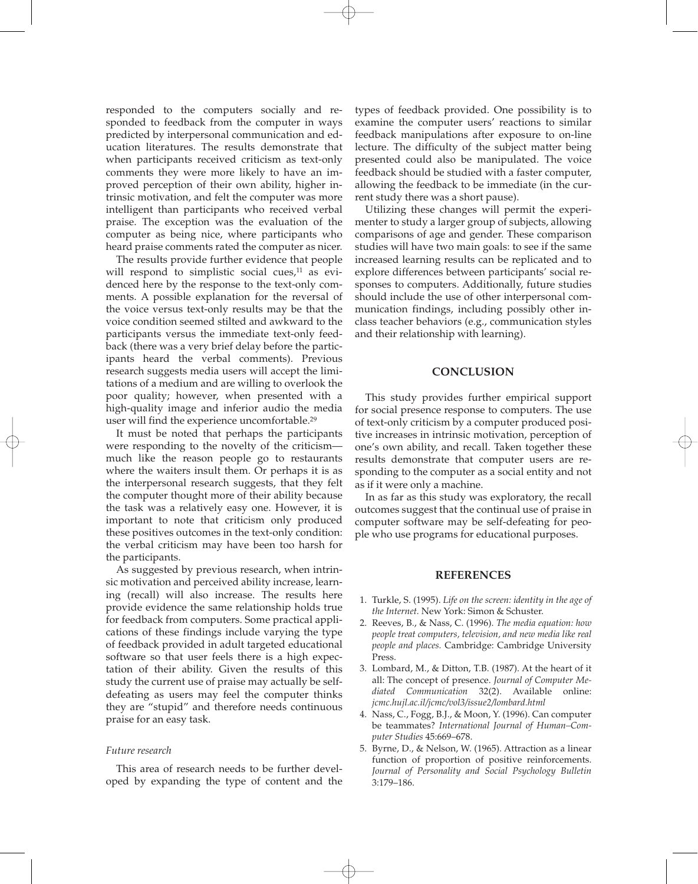responded to the computers socially and responded to feedback from the computer in ways predicted by interpersonal communication and education literatures. The results demonstrate that when participants received criticism as text-only comments they were more likely to have an improved perception of their own ability, higher intrinsic motivation, and felt the computer was more intelligent than participants who received verbal praise. The exception was the evaluation of the computer as being nice, where participants who heard praise comments rated the computer as nicer.

The results provide further evidence that people will respond to simplistic social cues,<sup>11</sup> as evidenced here by the response to the text-only comments. A possible explanation for the reversal of the voice versus text-only results may be that the voice condition seemed stilted and awkward to the participants versus the immediate text-only feedback (there was a very brief delay before the participants heard the verbal comments). Previous research suggests media users will accept the limitations of a medium and are willing to overlook the poor quality; however, when presented with a high-quality image and inferior audio the media user will find the experience uncomfortable.<sup>29</sup>

It must be noted that perhaps the participants were responding to the novelty of the criticismmuch like the reason people go to restaurants where the waiters insult them. Or perhaps it is as the interpersonal research suggests, that they felt the computer thought more of their ability because the task was a relatively easy one. However, it is important to note that criticism only produced these positives outcomes in the text-only condition: the verbal criticism may have been too harsh for the participants.

As suggested by previous research, when intrinsic motivation and perceived ability increase, learning (recall) will also increase. The results here provide evidence the same relationship holds true for feedback from computers. Some practical applications of these findings include varying the type of feedback provided in adult targeted educational software so that user feels there is a high expectation of their ability. Given the results of this study the current use of praise may actually be selfdefeating as users may feel the computer thinks they are "stupid" and therefore needs continuous praise for an easy task.

#### Future research

This area of research needs to be further developed by expanding the type of content and the

types of feedback provided. One possibility is to examine the computer users' reactions to similar feedback manipulations after exposure to on-line lecture. The difficulty of the subject matter being presented could also be manipulated. The voice feedback should be studied with a faster computer, allowing the feedback to be immediate (in the current study there was a short pause).

Utilizing these changes will permit the experimenter to study a larger group of subjects, allowing comparisons of age and gender. These comparison studies will have two main goals: to see if the same increased learning results can be replicated and to explore differences between participants' social responses to computers. Additionally, future studies should include the use of other interpersonal communication findings, including possibly other inclass teacher behaviors (e.g., communication styles and their relationship with learning).

#### **CONCLUSION**

This study provides further empirical support for social presence response to computers. The use of text-only criticism by a computer produced positive increases in intrinsic motivation, perception of one's own ability, and recall. Taken together these results demonstrate that computer users are responding to the computer as a social entity and not as if it were only a machine.

In as far as this study was exploratory, the recall outcomes suggest that the continual use of praise in computer software may be self-defeating for people who use programs for educational purposes.

#### **REFERENCES**

- 1. Turkle, S. (1995). Life on the screen: identity in the age of the Internet. New York: Simon & Schuster.
- 2. Reeves, B., & Nass, C. (1996). The media equation: how people treat computers, television, and new media like real people and places. Cambridge: Cambridge University Press.
- 3. Lombard, M., & Ditton, T.B. (1987). At the heart of it all: The concept of presence. Journal of Computer Mediated Communication 32(2). Available online: jcmc.hujl.ac.il/jcmc/vol3/issue2/lombard.html
- 4. Nass, C., Fogg, B.J., & Moon, Y. (1996). Can computer be teammates? International Journal of Human-Computer Studies 45:669-678.
- 5. Byrne, D., & Nelson, W. (1965). Attraction as a linear function of proportion of positive reinforcements. Journal of Personality and Social Psychology Bulletin 3:179-186.